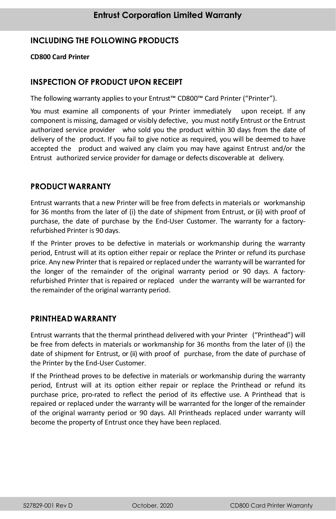# **INCLUDING THE FOLLOWING PRODUCTS**

#### **CD800 Card Printer**

### **INSPECTION OF PRODUCT UPON RECEIPT**

The following warranty applies to your Entrust™ CD800™ Card Printer ("Printer").

You must examine all components of your Printer immediately upon receipt. If any component is missing, damaged or visibly defective, you must notify Entrust or the Entrust authorized service provider who sold you the product within 30 days from the date of delivery of the product. If you fail to give notice as required, you will be deemed to have accepted the product and waived any claim you may have against Entrust and/or the Entrust authorized service provider for damage or defects discoverable at delivery.

### **PRODUCT WARRANTY**

Entrust warrants that a new Printer will be free from defects in materials or workmanship for 36 months from the later of (i) the date of shipment from Entrust, or (ii) with proof of purchase, the date of purchase by the End-User Customer. The warranty for a factoryrefurbished Printer is 90 days.

If the Printer proves to be defective in materials or workmanship during the warranty period, Entrust will at its option either repair or replace the Printer or refund its purchase price. Any new Printer that is repaired or replaced under the warranty will be warranted for the longer of the remainder of the original warranty period or 90 days. A factoryrefurbished Printer that is repaired or replaced under the warranty will be warranted for the remainder of the original warranty period.

### **PRINTHEAD WARRANTY**

Entrust warrants that the thermal printhead delivered with your Printer ("Printhead") will be free from defects in materials or workmanship for 36 months from the later of (i) the date of shipment for Entrust, or (ii) with proof of purchase, from the date of purchase of the Printer by the End-User Customer.

If the Printhead proves to be defective in materials or workmanship during the warranty period, Entrust will at its option either repair or replace the Printhead or refund its purchase price, pro-rated to reflect the period of its effective use. A Printhead that is repaired or replaced under the warranty will be warranted for the longer of the remainder of the original warranty period or 90 days. All Printheads replaced under warranty will become the property of Entrust once they have been replaced.